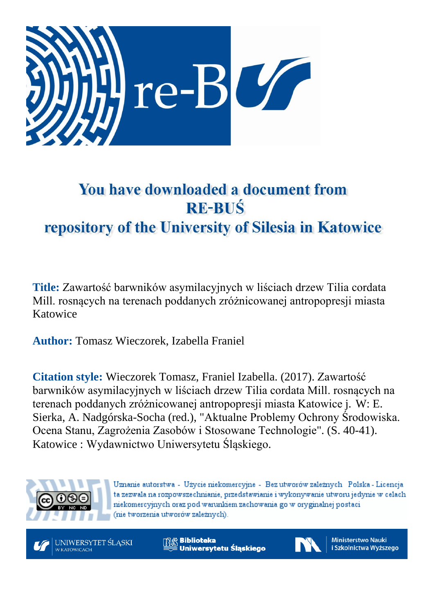

# You have downloaded a document from **RE-BUŚ** repository of the University of Silesia in Katowice

**Title:** Zawartość barwników asymilacyjnych w liściach drzew Tilia cordata Mill. rosnących na terenach poddanych zróżnicowanej antropopresji miasta Katowice

**Author:** Tomasz Wieczorek, Izabella Franiel

**Citation style:** Wieczorek Tomasz, Franiel Izabella. (2017). Zawartość barwników asymilacyjnych w liściach drzew Tilia cordata Mill. rosnących na terenach poddanych zróżnicowanej antropopresji miasta Katowice j. W: E. Sierka, A. Nadgórska-Socha (red.), "Aktualne Problemy Ochrony Środowiska. Ocena Stanu, Zagrożenia Zasobów i Stosowane Technologie". (S. 40-41). Katowice : Wydawnictwo Uniwersytetu Śląskiego.



Uznanie autorstwa - Użycie niekomercyjne - Bez utworów zależnych Polska - Licencja ta zezwala na rozpowszechnianie, przedstawianie i wykonywanie utworu jedynie w celach niekomercyjnych oraz pod warunkiem zachowania go w oryginalnej postaci (nie tworzenia utworów zależnych).



**& Biblioteka** Uniwersytetu Śląskiego



**Ministerstwo Nauki** i Szkolnictwa Wyższego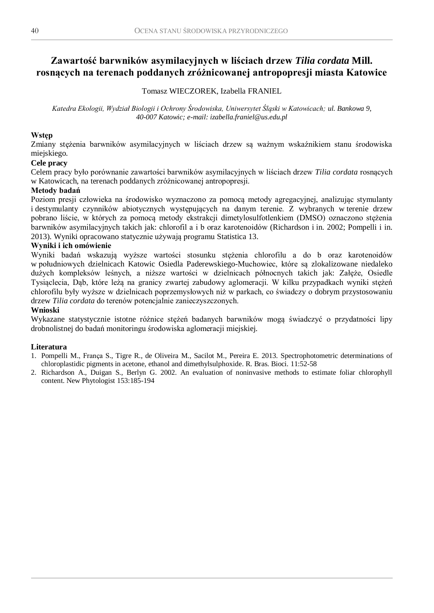# **Zawartość barwników asymilacyjnych w liściach drzew** *Tilia cordata* **Mill. rosnących na terenach poddanych zróżnicowanej antropopresji miasta Katowice**

# Tomasz WIECZOREK, Izabella FRANIEL

*Katedra Ekologii, Wydział Biologii i Ochrony Środowiska, Uniwersytet Śląski w Katowicach; ul. Bankowa 9, 40-007 Katowic; e-mail: izabella.franiel@us.edu.pl*

# **Wstęp**

Zmiany stężenia barwników asymilacyjnych w liściach drzew są ważnym wskaźnikiem stanu środowiska miejskiego.

# **Cele pracy**

Celem pracy było porównanie zawartości barwników asymilacyjnych w liściach drzew *Tilia cordata* rosnących w Katowicach, na terenach poddanych zróżnicowanej antropopresji.

# **Metody badań**

Poziom presji człowieka na środowisko wyznaczono za pomocą metody agregacyjnej, analizując stymulanty i destymulanty czynników abiotycznych występujących na danym terenie. Z wybranych w terenie drzew pobrano liście, w których za pomocą metody ekstrakcji dimetylosulfotlenkiem (DMSO) oznaczono stężenia barwników asymilacyjnych takich jak: chlorofil a i b oraz karotenoidów (Richardson i in. 2002; Pompelli i in. 2013). Wyniki opracowano statycznie używają programu Statistica 13.

# **Wyniki i ich omówienie**

Wyniki badań wskazują wyższe wartości stosunku stężenia chlorofilu a do b oraz karotenoidów w południowych dzielnicach Katowic Osiedla Paderewskiego-Muchowiec, które są zlokalizowane niedaleko dużych kompleksów leśnych, a niższe wartości w dzielnicach północnych takich jak: Załęże, Osiedle Tysiąclecia, Dąb, które leżą na granicy zwartej zabudowy aglomeracji. W kilku przypadkach wyniki stężeń chlorofilu były wyższe w dzielnicach poprzemysłowych niż w parkach, co świadczy o dobrym przystosowaniu drzew *Tilia cordata* do terenów potencjalnie zanieczyszczonych.

### **Wnioski**

Wykazane statystycznie istotne różnice stężeń badanych barwników mogą świadczyć o przydatności lipy drobnolistnej do badań monitoringu środowiska aglomeracji miejskiej.

#### **Literatura**

- 1. Pompelli M., França S., Tigre R., de Oliveira M., Sacilot M., Pereira E. 2013. Spectrophotometric determinations of chloroplastidic pigments in acetone, ethanol and dimethylsulphoxide. R. Bras. Bioci. 11:52-58
- 2. Richardson A., Duigan S., Berlyn G. 2002. An evaluation of noninvasive methods to estimate foliar chlorophyll content. New Phytologist 153:185-194